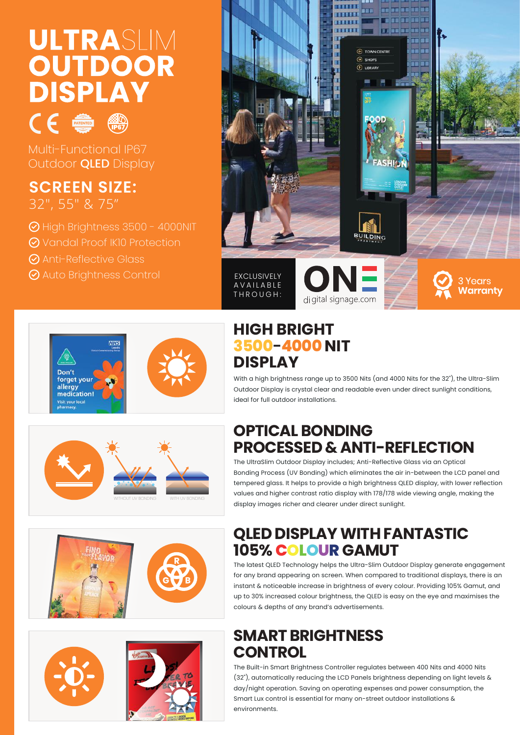# ULTRASLIM **OUTDOOR DISPLAY**



Multi-Functional IP67 Outdoor QLED Display

#### **SCREEN SIZE:** 32″, 55″ & 75"

- High Brightness 3500 4000NIT
- Vandal Proof IK10 Protection
- Anti-Reflective Glass
- **⊘** Auto Brightness Control













## **HIGH BRIGHT 3500-4000 NIT DISPLAY**

THROUGH:

With a high brightness range up to 3500 Nits (and 4000 Nits for the 32"), the Ultra-Slim Outdoor Display is crystal clear and readable even under direct sunlight conditions, ideal for full outdoor installations.

# **OPTICAL BONDING PROCESSED & ANTI-REFLECTION**

di gital signage.com

The UltraSlim Outdoor Display includes; Anti-Reflective Glass via an Optical Bonding Process (UV Bonding) which eliminates the air in-between the LCD panel and tempered glass. It helps to provide a high brightness QLED display, with lower reflection values and higher contrast ratio display with 178/178 wide viewing angle, making the display images richer and clearer under direct sunlight.

# **QLED DISPLAY WITH FANTASTIC 105% COLOUR GAMUT**

The latest QLED Technology helps the Ultra-Slim Outdoor Display generate engagement for any brand appearing on screen. When compared to traditional displays, there is an instant & noticeable increase in brightness of every colour. Providing 105% Gamut, and up to 30% increased colour brightness, the QLED is easy on the eye and maximises the colours & depths of any brand's advertisements.

# **SMART BRIGHTNESS CONTROL**

The Built-in Smart Brightness Controller regulates between 400 Nits and 4000 Nits (32"), automatically reducing the LCD Panels brightness depending on light levels & day/night operation. Saving on operating expenses and power consumption, the Smart Lux control is essential for many on-street outdoor installations & environments.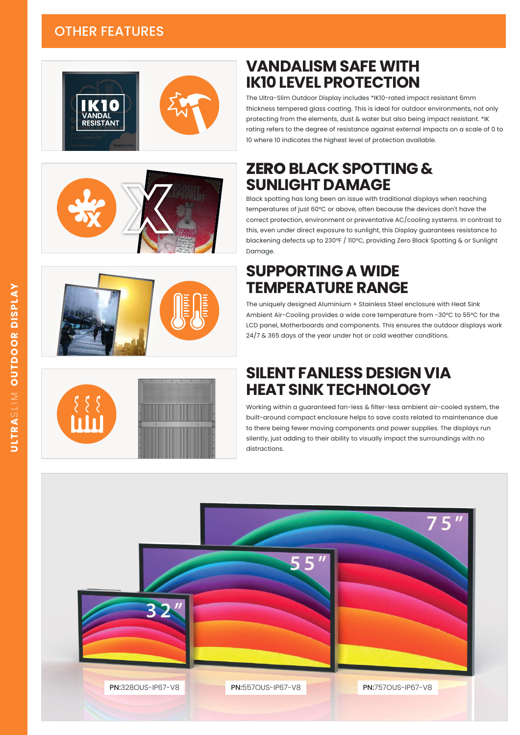#### OTHER FEATURES









**VANDALISM SAFE WITH IK10 LEVEL PROTECTION**

## **ZERO BLACK SPOTTING & SUNLIGHT DAMAGE**

10 where 10 indicates the highest level of protection available.

Black spotting has long been an issue with traditional displays when reaching temperatures of just 60°C or above, often because the devices don't have the correct protection, environment or preventative AC/cooling systems. In contrast to this, even under direct exposure to sunlight, this Display guarantees resistance to blackening defects up to 230°F / 110°C, providing Zero Black Spotting & or Sunlight Damage.

## **SUPPORTING A WIDE TEMPERATURE RANGE**

The uniquely designed Aluminium + Stainless Steel enclosure with Heat Sink Ambient Air-Cooling provides a wide core temperature from -30°C to 55°C for the LCD panel, Motherboards and components. This ensures the outdoor displays work 24/7 & 365 days of the year under hot or cold weather conditions.

#### **SILENT FANLESS DESIGN VIA HEAT SINK TECHNOLOGY**

Working within a guaranteed fan-less & filter-less ambient air-cooled system, the built-around compact enclosure helps to save costs related to maintenance due to there being fewer moving components and power supplies. The displays run silently, just adding to their ability to visually impact the surroundings with no distractions.

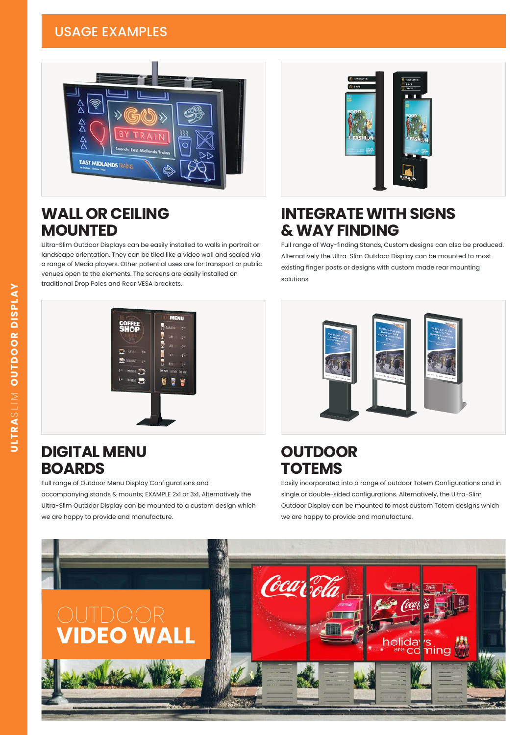#### USAGE EXAMPLES



## **WALL OR CEILING MOUNTED**

Ultra-Slim Outdoor Displays can be easily installed to walls in portrait or landscape orientation. They can be tiled like a video wall and scaled via a range of Media players. Other potential uses are for transport or public venues open to the elements. The screens are easily installed on traditional Drop Poles and Rear VESA brackets.



## **INTEGRATE WITH SIGNS & WAY FINDING**

Full range of Way-finding Stands, Custom designs can also be produced. Alternatively the Ultra-Slim Outdoor Display can be mounted to most existing finger posts or designs with custom made rear mounting solutions.



#### **DIGITAL MENU BOARDS**

Full range of Outdoor Menu Display Configurations and accompanying stands & mounts; EXAMPLE 2x1 or 3x1, Alternatively the Ultra-Slim Outdoor Display can be mounted to a custom design which we are happy to provide and manufacture.



#### **OUTDOOR TOTEMS**

Easily incorporated into a range of outdoor Totem Configurations and in single or double-sided configurations. Alternatively, the Ultra-Slim Outdoor Display can be mounted to most custom Totem designs which we are happy to provide and manufacture.